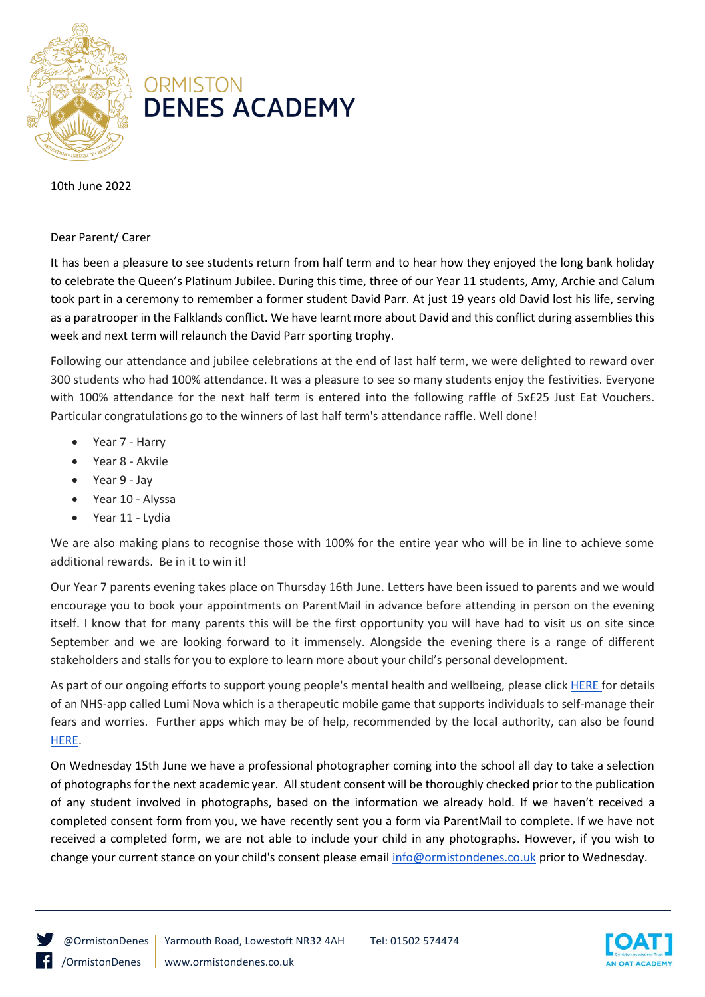

## **ORMISTON DENES ACADEMY**

10th June 2022

## Dear Parent/ Carer

It has been a pleasure to see students return from half term and to hear how they enjoyed the long bank holiday to celebrate the Queen's Platinum Jubilee. During this time, three of our Year 11 students, Amy, Archie and Calum took part in a ceremony to remember a former student David Parr. At just 19 years old David lost his life, serving as a paratrooper in the Falklands conflict. We have learnt more about David and this conflict during assemblies this week and next term will relaunch the David Parr sporting trophy.

Following our attendance and jubilee celebrations at the end of last half term, we were delighted to reward over 300 students who had 100% attendance. It was a pleasure to see so many students enjoy the festivities. Everyone with 100% attendance for the next half term is entered into the following raffle of 5x£25 Just Eat Vouchers. Particular congratulations go to the winners of last half term's attendance raffle. Well done!

- Year 7 Harry
- Year 8 Akvile
- Year 9 Jay
- Year 10 Alyssa
- Year 11 Lydia

We are also making plans to recognise those with 100% for the entire year who will be in line to achieve some additional rewards. Be in it to win it!

Our Year 7 parents evening takes place on Thursday 16th June. Letters have been issued to parents and we would encourage you to book your appointments on ParentMail in advance before attending in person on the evening itself. I know that for many parents this will be the first opportunity you will have had to visit us on site since September and we are looking forward to it immensely. Alongside the evening there is a range of different stakeholders and stalls for you to explore to learn more about your child's personal development.

As part of our ongoing efforts to support young people's mental health and wellbeing, please clic[k HERE f](https://www.justonenorfolk.nhs.uk/emotional-health/children-young-peoples-emotional-health/lumi-nova-app/)or details of an NHS-app called Lumi Nova which is a therapeutic mobile game that supports individuals to self-manage their fears and worries. Further apps which may be of help, recommended by the local authority, can also be found [HERE.](https://www.thesource.me.uk/health/if-the-app-fits-health-and-well-being-apps/)

On Wednesday 15th June we have a professional photographer coming into the school all day to take a selection of photographs for the next academic year. All student consent will be thoroughly checked prior to the publication of any student involved in photographs, based on the information we already hold. If we haven't received a completed consent form from you, we have recently sent you a form via ParentMail to complete. If we have not received a completed form, we are not able to include your child in any photographs. However, if you wish to change your current stance on your child's consent please email [info@ormistondenes.co.uk](mailto:info@ormistondenes.co.uk) prior to Wednesday.